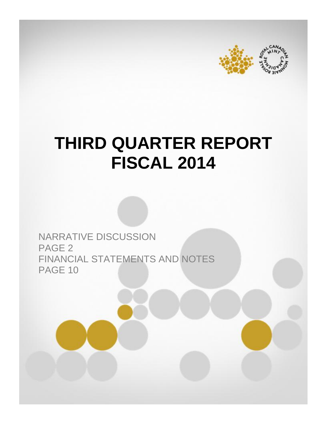



# **THIRD QUARTER REPORT FISCAL 2014**

NARRATIVE DISCUSSION PAGE 2 FINANCIAL STATEMENTS AND NOTES PAGE 10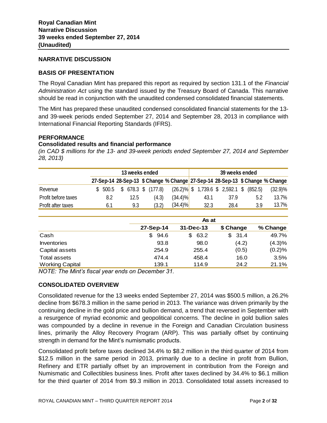# **NARRATIVE DISCUSSION**

# **BASIS OF PRESENTATION**

The Royal Canadian Mint has prepared this report as required by section 131.1 of the *Financial Administration Act* using the standard issued by the Treasury Board of Canada. This narrative should be read in conjunction with the unaudited condensed consolidated financial statements.

The Mint has prepared these unaudited condensed consolidated financial statements for the 13 and 39-week periods ended September 27, 2014 and September 28, 2013 in compliance with International Financial Reporting Standards (IFRS).

#### **PERFORMANCE**

#### **Consolidated results and financial performance**

*(in CAD \$ millions for the 13- and 39-week periods ended September 27, 2014 and September 28, 2013)*

|                     | 13 weeks ended |  |      |  |                  | 39 weeks ended                                                                |  |                                             |  |      |  |     |            |
|---------------------|----------------|--|------|--|------------------|-------------------------------------------------------------------------------|--|---------------------------------------------|--|------|--|-----|------------|
|                     |                |  |      |  |                  | 27-Sep-14 28-Sep-13 \$ Change % Change 27-Sep-14 28-Sep-13 \$ Change % Change |  |                                             |  |      |  |     |            |
| Revenue             | \$ 500.5       |  |      |  | 678.3 \$ (177.8) |                                                                               |  | $(26.2)\%$ \$ 1,739.6 \$ 2,592.1 \$ (852.5) |  |      |  |     | $(32.9)\%$ |
| Profit before taxes | 8.2            |  | 12.5 |  | (4.3)            | $(34.4)\%$                                                                    |  | 43.1                                        |  | 37.9 |  | 5.2 | 13.7%      |
| Profit after taxes  | 6.1            |  | 9.3  |  | (3.2)            | $(34.4)\%$                                                                    |  | 32.3                                        |  | 28.4 |  | 3.9 | 13.7%      |

|                        | As at      |            |           |          |  |  |
|------------------------|------------|------------|-----------|----------|--|--|
|                        | 27-Sep-14  | 31-Dec-13  | \$ Change | % Change |  |  |
| Cash                   | 94.6<br>\$ | 63.2<br>\$ | \$31.4    | 49.7%    |  |  |
| <b>Inventories</b>     | 93.8       | 98.0       | (4.2)     | (4.3)%   |  |  |
| Capital assets         | 254.9      | 255.4      | (0.5)     | (0.2)%   |  |  |
| Total assets           | 474.4      | 458.4      | 16.0      | 3.5%     |  |  |
| <b>Working Capital</b> | 139.1      | 114.9      | 24.2      | 21.1%    |  |  |

*NOTE: The Mint's fiscal year ends on December 31.* 

# **CONSOLIDATED OVERVIEW**

Consolidated revenue for the 13 weeks ended September 27, 2014 was \$500.5 million, a 26.2% decline from \$678.3 million in the same period in 2013. The variance was driven primarily by the continuing decline in the gold price and bullion demand, a trend that reversed in September with a resurgence of myriad economic and geopolitical concerns. The decline in gold bullion sales was compounded by a decline in revenue in the Foreign and Canadian Circulation business lines, primarily the Alloy Recovery Program (ARP). This was partially offset by continuing strength in demand for the Mint's numismatic products.

Consolidated profit before taxes declined 34.4% to \$8.2 million in the third quarter of 2014 from \$12.5 million in the same period in 2013, primarily due to a decline in profit from Bullion, Refinery and ETR partially offset by an improvement in contribution from the Foreign and Numismatic and Collectibles business lines. Profit after taxes declined by 34.4% to \$6.1 million for the third quarter of 2014 from \$9.3 million in 2013. Consolidated total assets increased to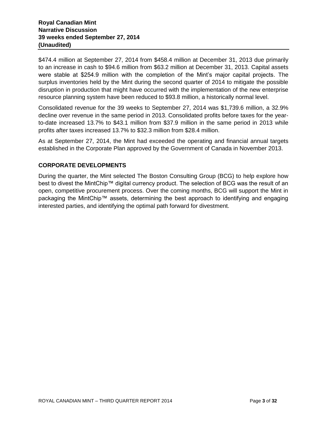\$474.4 million at September 27, 2014 from \$458.4 million at December 31, 2013 due primarily to an increase in cash to \$94.6 million from \$63.2 million at December 31, 2013. Capital assets were stable at \$254.9 million with the completion of the Mint's major capital projects. The surplus inventories held by the Mint during the second quarter of 2014 to mitigate the possible disruption in production that might have occurred with the implementation of the new enterprise resource planning system have been reduced to \$93.8 million, a historically normal level.

Consolidated revenue for the 39 weeks to September 27, 2014 was \$1,739.6 million, a 32.9% decline over revenue in the same period in 2013. Consolidated profits before taxes for the yearto-date increased 13.7% to \$43.1 million from \$37.9 million in the same period in 2013 while profits after taxes increased 13.7% to \$32.3 million from \$28.4 million.

As at September 27, 2014, the Mint had exceeded the operating and financial annual targets established in the Corporate Plan approved by the Government of Canada in November 2013.

# **CORPORATE DEVELOPMENTS**

During the quarter, the Mint selected The Boston Consulting Group (BCG) to help explore how best to divest the MintChip™ digital currency product. The selection of BCG was the result of an open, competitive procurement process. Over the coming months, BCG will support the Mint in packaging the MintChip™ assets, determining the best approach to identifying and engaging interested parties, and identifying the optimal path forward for divestment.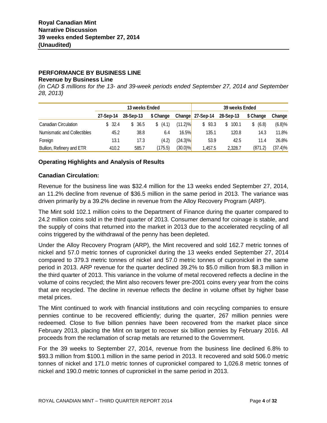# **PERFORMANCE BY BUSINESS LINE**

#### **Revenue by Business Line**

*(in CAD \$ millions for the 13- and 39-week periods ended September 27, 2014 and September 28, 2013)*

|                             |           | 13 weeks Ended |            |              | 39 weeks Ended   |             |             |         |  |
|-----------------------------|-----------|----------------|------------|--------------|------------------|-------------|-------------|---------|--|
|                             | 27-Sep-14 | 28-Sep-13      | \$ Change  |              | Change 27-Sep-14 | 28-Sep-13   | \$ Change   | Change  |  |
| Canadian Circulation        | \$32.4    | 36.5<br>\$.    | (4.1)<br>S | $(11.2)\%$   | 93.3<br>S.       | 100.1<br>S. | (6.8)<br>\$ | (6.8)%  |  |
| Numismatic and Collectibles | 45.2      | 38.8           | 6.4        | <b>16.5%</b> | 135.1            | 120.8       | 14.3        | 11.8%   |  |
| Foreign                     | 13.1      | 17.3           | (4.2)      | $(24.3)\%$   | 53.9             | 42.5        | 11.4        | 26.8%   |  |
| Bullion, Refinery and ETR   | 410.2     | 585.7          | (175.5)    | $(30.0)\%$   | 1.457.5          | 2.328.7     | (871.2)     | (37.4)% |  |

# **Operating Highlights and Analysis of Results**

## **Canadian Circulation:**

Revenue for the business line was \$32.4 million for the 13 weeks ended September 27, 2014, an 11.2% decline from revenue of \$36.5 million in the same period in 2013. The variance was driven primarily by a 39.2% decline in revenue from the Alloy Recovery Program (ARP).

The Mint sold 102.1 million coins to the Department of Finance during the quarter compared to 24.2 million coins sold in the third quarter of 2013. Consumer demand for coinage is stable, and the supply of coins that returned into the market in 2013 due to the accelerated recycling of all coins triggered by the withdrawal of the penny has been depleted.

Under the Alloy Recovery Program (ARP), the Mint recovered and sold 162.7 metric tonnes of nickel and 57.0 metric tonnes of cupronickel during the 13 weeks ended September 27, 2014 compared to 379.3 metric tonnes of nickel and 57.0 metric tonnes of cupronickel in the same period in 2013. ARP revenue for the quarter declined 39.2% to \$5.0 million from \$8.3 million in the third quarter of 2013. This variance in the volume of metal recovered reflects a decline in the volume of coins recycled; the Mint also recovers fewer pre-2001 coins every year from the coins that are recycled. The decline in revenue reflects the decline in volume offset by higher base metal prices.

The Mint continued to work with financial institutions and coin recycling companies to ensure pennies continue to be recovered efficiently; during the quarter, 267 million pennies were redeemed. Close to five billion pennies have been recovered from the market place since February 2013, placing the Mint on target to recover six billion pennies by February 2016. All proceeds from the reclamation of scrap metals are returned to the Government.

For the 39 weeks to September 27, 2014, revenue from the business line declined 6.8% to \$93.3 million from \$100.1 million in the same period in 2013. It recovered and sold 506.0 metric tonnes of nickel and 171.0 metric tonnes of cupronickel compared to 1,026.8 metric tonnes of nickel and 190.0 metric tonnes of cupronickel in the same period in 2013.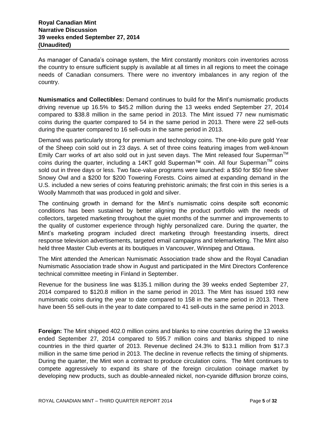As manager of Canada's coinage system, the Mint constantly monitors coin inventories across the country to ensure sufficient supply is available at all times in all regions to meet the coinage needs of Canadian consumers. There were no inventory imbalances in any region of the country.

**Numismatics and Collectibles:** Demand continues to build for the Mint's numismatic products driving revenue up 16.5% to \$45.2 million during the 13 weeks ended September 27, 2014 compared to \$38.8 million in the same period in 2013. The Mint issued 77 new numismatic coins during the quarter compared to 54 in the same period in 2013. There were 22 sell-outs during the quarter compared to 16 sell-outs in the same period in 2013.

Demand was particularly strong for premium and technology coins. The one-kilo pure gold Year of the Sheep coin sold out in 23 days. A set of three coins featuring images from well-known Emily Carr works of art also sold out in just seven days. The Mint released four Superman<sup>TM</sup> coins during the quarter, including a 14KT gold Superman™ coin. All four Superman<sup>™</sup> coins sold out in three days or less. Two face-value programs were launched: a \$50 for \$50 fine silver Snowy Owl and a \$200 for \$200 Towering Forests. Coins aimed at expanding demand in the U.S. included a new series of coins featuring prehistoric animals; the first coin in this series is a Woolly Mammoth that was produced in gold and silver.

The continuing growth in demand for the Mint's numismatic coins despite soft economic conditions has been sustained by better aligning the product portfolio with the needs of collectors, targeted marketing throughout the quiet months of the summer and improvements to the quality of customer experience through highly personalized care. During the quarter, the Mint's marketing program included direct marketing through freestanding inserts, direct response television advertisements, targeted email campaigns and telemarketing. The Mint also held three Master Club events at its boutiques in Vancouver, Winnipeg and Ottawa.

The Mint attended the American Numismatic Association trade show and the Royal Canadian Numismatic Association trade show in August and participated in the Mint Directors Conference technical committee meeting in Finland in September.

Revenue for the business line was \$135.1 million during the 39 weeks ended September 27, 2014 compared to \$120.8 million in the same period in 2013. The Mint has issued 193 new numismatic coins during the year to date compared to 158 in the same period in 2013. There have been 55 sell-outs in the year to date compared to 41 sell-outs in the same period in 2013.

**Foreign:** The Mint shipped 402.0 million coins and blanks to nine countries during the 13 weeks ended September 27, 2014 compared to 595.7 million coins and blanks shipped to nine countries in the third quarter of 2013. Revenue declined 24.3% to \$13.1 million from \$17.3 million in the same time period in 2013. The decline in revenue reflects the timing of shipments. During the quarter, the Mint won a contract to produce circulation coins. The Mint continues to compete aggressively to expand its share of the foreign circulation coinage market by developing new products, such as double-annealed nickel, non-cyanide diffusion bronze coins,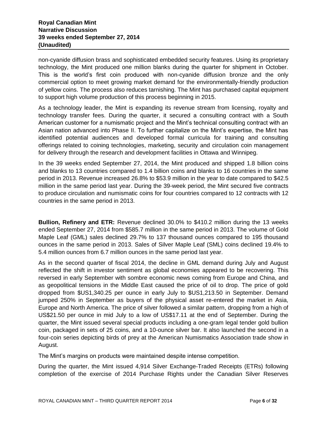non-cyanide diffusion brass and sophisticated embedded security features. Using its proprietary technology, the Mint produced one million blanks during the quarter for shipment in October. This is the world's first coin produced with non-cyanide diffusion bronze and the only commercial option to meet growing market demand for the environmentally-friendly production of yellow coins. The process also reduces tarnishing. The Mint has purchased capital equipment to support high volume production of this process beginning in 2015.

As a technology leader, the Mint is expanding its revenue stream from licensing, royalty and technology transfer fees. During the quarter, it secured a consulting contract with a South American customer for a numismatic project and the Mint's technical consulting contract with an Asian nation advanced into Phase II. To further capitalize on the Mint's expertise, the Mint has identified potential audiences and developed formal curricula for training and consulting offerings related to coining technologies, marketing, security and circulation coin management for delivery through the research and development facilities in Ottawa and Winnipeg.

In the 39 weeks ended September 27, 2014, the Mint produced and shipped 1.8 billion coins and blanks to 13 countries compared to 1.4 billion coins and blanks to 16 countries in the same period in 2013. Revenue increased 26.8% to \$53.9 million in the year to date compared to \$42.5 million in the same period last year. During the 39-week period, the Mint secured five contracts to produce circulation and numismatic coins for four countries compared to 12 contracts with 12 countries in the same period in 2013.

**Bullion, Refinery and ETR:** Revenue declined 30.0% to \$410.2 million during the 13 weeks ended September 27, 2014 from \$585.7 million in the same period in 2013. The volume of Gold Maple Leaf (GML) sales declined 29.7% to 137 thousand ounces compared to 195 thousand ounces in the same period in 2013. Sales of Silver Maple Leaf (SML) coins declined 19.4% to 5.4 million ounces from 6.7 million ounces in the same period last year.

As in the second quarter of fiscal 2014, the decline in GML demand during July and August reflected the shift in investor sentiment as global economies appeared to be recovering. This reversed in early September with sombre economic news coming from Europe and China, and as geopolitical tensions in the Middle East caused the price of oil to drop. The price of gold dropped from \$US1,340.25 per ounce in early July to \$US1,213.50 in September. Demand jumped 250% in September as buyers of the physical asset re-entered the market in Asia, Europe and North America. The price of silver followed a similar pattern, dropping from a high of US\$21.50 per ounce in mid July to a low of US\$17.11 at the end of September. During the quarter, the Mint issued several special products including a one-gram legal tender gold bullion coin, packaged in sets of 25 coins, and a 10-ounce silver bar. It also launched the second in a four-coin series depicting birds of prey at the American Numismatics Association trade show in August.

The Mint's margins on products were maintained despite intense competition.

During the quarter, the Mint issued 4,914 Silver Exchange-Traded Receipts (ETRs) following completion of the exercise of 2014 Purchase Rights under the Canadian Silver Reserves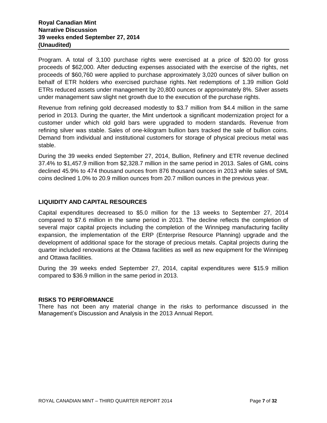Program. A total of 3,100 purchase rights were exercised at a price of \$20.00 for gross proceeds of \$62,000. After deducting expenses associated with the exercise of the rights, net proceeds of \$60,760 were applied to purchase approximately 3,020 ounces of silver bullion on behalf of ETR holders who exercised purchase rights. Net redemptions of 1.39 million Gold ETRs reduced assets under management by 20,800 ounces or approximately 8%. Silver assets under management saw slight net growth due to the execution of the purchase rights.

Revenue from refining gold decreased modestly to \$3.7 million from \$4.4 million in the same period in 2013. During the quarter, the Mint undertook a significant modernization project for a customer under which old gold bars were upgraded to modern standards. Revenue from refining silver was stable. Sales of one-kilogram bullion bars tracked the sale of bullion coins. Demand from individual and institutional customers for storage of physical precious metal was stable.

During the 39 weeks ended September 27, 2014, Bullion, Refinery and ETR revenue declined 37.4% to \$1,457.9 million from \$2,328.7 million in the same period in 2013. Sales of GML coins declined 45.9% to 474 thousand ounces from 876 thousand ounces in 2013 while sales of SML coins declined 1.0% to 20.9 million ounces from 20.7 million ounces in the previous year.

# **LIQUIDITY AND CAPITAL RESOURCES**

Capital expenditures decreased to \$5.0 million for the 13 weeks to September 27, 2014 compared to \$7.6 million in the same period in 2013. The decline reflects the completion of several major capital projects including the completion of the Winnipeg manufacturing facility expansion, the implementation of the ERP (Enterprise Resource Planning) upgrade and the development of additional space for the storage of precious metals. Capital projects during the quarter included renovations at the Ottawa facilities as well as new equipment for the Winnipeg and Ottawa facilities.

During the 39 weeks ended September 27, 2014, capital expenditures were \$15.9 million compared to \$36.9 million in the same period in 2013.

# **RISKS TO PERFORMANCE**

There has not been any material change in the risks to performance discussed in the Management's Discussion and Analysis in the 2013 Annual Report.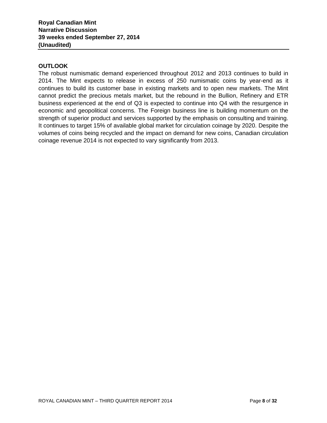# **OUTLOOK**

The robust numismatic demand experienced throughout 2012 and 2013 continues to build in 2014. The Mint expects to release in excess of 250 numismatic coins by year-end as it continues to build its customer base in existing markets and to open new markets. The Mint cannot predict the precious metals market, but the rebound in the Bullion, Refinery and ETR business experienced at the end of Q3 is expected to continue into Q4 with the resurgence in economic and geopolitical concerns. The Foreign business line is building momentum on the strength of superior product and services supported by the emphasis on consulting and training. It continues to target 15% of available global market for circulation coinage by 2020. Despite the volumes of coins being recycled and the impact on demand for new coins, Canadian circulation coinage revenue 2014 is not expected to vary significantly from 2013.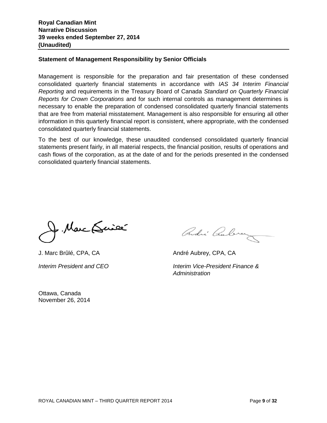#### **Statement of Management Responsibility by Senior Officials**

Management is responsible for the preparation and fair presentation of these condensed consolidated quarterly financial statements in accordance with *IAS 34 Interim Financial Reporting* and requirements in the Treasury Board of Canada *Standard on Quarterly Financial Reports for Crown Corporations* and for such internal controls as management determines is necessary to enable the preparation of condensed consolidated quarterly financial statements that are free from material misstatement. Management is also responsible for ensuring all other information in this quarterly financial report is consistent, where appropriate, with the condensed consolidated quarterly financial statements.

To the best of our knowledge, these unaudited condensed consolidated quarterly financial statements present fairly, in all material respects, the financial position, results of operations and cash flows of the corporation, as at the date of and for the periods presented in the condensed consolidated quarterly financial statements.

f. Marc (Suice

Ottawa, Canada November 26, 2014

Ondré Cubrez

J. Marc Brûlé, CPA, CA André Aubrey, CPA, CA

*Interim President and CEO Interim Vice-President Finance & Administration*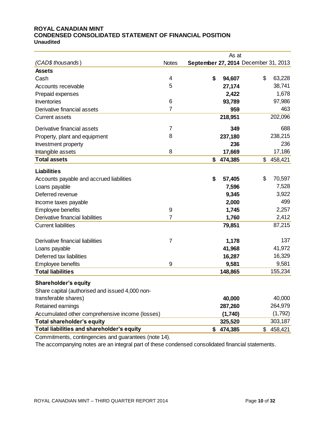#### **ROYAL CANADIAN MINT CONDENSED CONSOLIDATED STATEMENT OF FINANCIAL POSITION Unaudited**

|                                                 |                  |                                      | As at   |               |
|-------------------------------------------------|------------------|--------------------------------------|---------|---------------|
| (CAD\$ thousands)                               | <b>Notes</b>     | September 27, 2014 December 31, 2013 |         |               |
| <b>Assets</b>                                   |                  |                                      |         |               |
| Cash                                            | 4                | \$                                   | 94,607  | \$<br>63,228  |
| Accounts receivable                             | 5                |                                      | 27,174  | 38,741        |
| Prepaid expenses                                |                  |                                      | 2,422   | 1,678         |
| Inventories                                     | 6                |                                      | 93,789  | 97,986        |
| Derivative financial assets                     | $\overline{7}$   |                                      | 959     | 463           |
| <b>Current assets</b>                           |                  |                                      | 218,951 | 202,096       |
| Derivative financial assets                     | 7                |                                      | 349     | 688           |
| Property, plant and equipment                   | 8                |                                      | 237,180 | 238,215       |
| Investment property                             |                  |                                      | 236     | 236           |
| Intangible assets                               | 8                |                                      | 17,669  | 17,186        |
| <b>Total assets</b>                             |                  | \$                                   | 474,385 | \$<br>458,421 |
| <b>Liabilities</b>                              |                  |                                      |         |               |
| Accounts payable and accrued liabilities        |                  | \$                                   | 57,405  | \$<br>70,597  |
| Loans payable                                   |                  |                                      | 7,596   | 7,528         |
| Deferred revenue                                |                  |                                      | 9,345   | 3,922         |
| Income taxes payable                            |                  |                                      | 2,000   | 499           |
| Employee benefits                               | $\boldsymbol{9}$ |                                      | 1,745   | 2,257         |
| Derivative financial liabilities                | $\overline{7}$   |                                      | 1,760   | 2,412         |
| <b>Current liabilities</b>                      |                  |                                      | 79,851  | 87,215        |
| Derivative financial liabilities                | 7                |                                      | 1,178   | 137           |
| Loans payable                                   |                  |                                      | 41,968  | 41,972        |
| Deferred tax liabilities                        |                  |                                      | 16,287  | 16,329        |
| <b>Employee benefits</b>                        | 9                |                                      | 9,581   | 9,581         |
| <b>Total liabilities</b>                        |                  |                                      | 148,865 | 155,234       |
| <b>Shareholder's equity</b>                     |                  |                                      |         |               |
| Share capital (authorised and issued 4,000 non- |                  |                                      |         |               |
| transferable shares)                            |                  |                                      | 40,000  | 40,000        |
| Retained earnings                               |                  |                                      | 287,260 | 264,979       |
| Accumulated other comprehensive income (losses) |                  |                                      | (1,740) | (1,792)       |
| Total shareholder's equity                      |                  |                                      | 325,520 | 303,187       |
| Total liabilities and shareholder's equity      |                  | \$                                   | 474,385 | \$<br>458,421 |
|                                                 |                  |                                      |         |               |

Commitments, contingencies and guarantees (note 14).

The accompanying notes are an integral part of these condensed consolidated financial statements.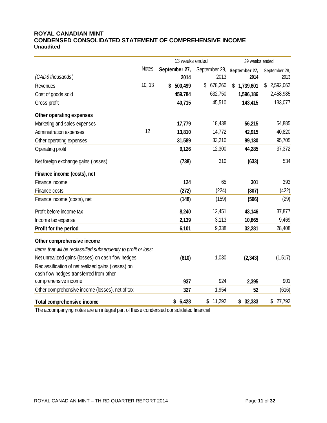# **ROYAL CANADIAN MINT CONDENSED CONSOLIDATED STATEMENT OF COMPREHENSIVE INCOME Unaudited**

|                                                                 |              | 13 weeks ended |                             | 39 weeks ended  |                 |  |  |
|-----------------------------------------------------------------|--------------|----------------|-----------------------------|-----------------|-----------------|--|--|
|                                                                 | <b>Notes</b> | September 27,  | September 28, September 27, |                 | September 28,   |  |  |
| (CAD\$ thousands)                                               |              | 2014           | 2013                        | 2014            | 2013            |  |  |
| Revenues                                                        | 10, 13       | 500,499<br>\$  | \$ 678,260                  | 1,739,601<br>\$ | \$<br>2,592,062 |  |  |
| Cost of goods sold                                              |              | 459,784        | 632,750                     | 1,596,186       | 2,458,985       |  |  |
| Gross profit                                                    |              | 40,715         | 45,510                      | 143,415         | 133,077         |  |  |
| Other operating expenses                                        |              |                |                             |                 |                 |  |  |
| Marketing and sales expenses                                    |              | 17,779         | 18,438                      | 56,215          | 54,885          |  |  |
| Administration expenses                                         | 12           | 13,810         | 14,772                      | 42,915          | 40,820          |  |  |
| Other operating expenses                                        |              | 31,589         | 33,210                      | 99,130          | 95,705          |  |  |
| Operating profit                                                |              | 9,126          | 12,300                      | 44,285          | 37,372          |  |  |
| Net foreign exchange gains (losses)                             |              | (738)          | 310                         | (633)           | 534             |  |  |
| Finance income (costs), net                                     |              |                |                             |                 |                 |  |  |
| Finance income                                                  |              | 124            | 65                          | 301             | 393             |  |  |
| Finance costs                                                   |              | (272)          | (224)                       | (807)           | (422)           |  |  |
| Finance income (costs), net                                     |              | (148)          | (159)                       | (506)           | (29)            |  |  |
| Profit before income tax                                        |              | 8,240          | 12,451                      | 43,146          | 37,877          |  |  |
| Income tax expense                                              |              | 2,139          | 3,113                       | 10,865          | 9,469           |  |  |
| Profit for the period                                           |              | 6,101          | 9,338                       | 32,281          | 28,408          |  |  |
| Other comprehensive income                                      |              |                |                             |                 |                 |  |  |
| Items that will be reclassified subsequently to profit or loss: |              |                |                             |                 |                 |  |  |
| Net unrealized gains (losses) on cash flow hedges               |              | (610)          | 1,030                       | (2, 343)        | (1, 517)        |  |  |
| Reclassification of net realized gains (losses) on              |              |                |                             |                 |                 |  |  |
| cash flow hedges transferred from other                         |              |                |                             |                 |                 |  |  |
| comprehensive income                                            |              | 937            | 924                         | 2,395           | 901             |  |  |
| Other comprehensive income (losses), net of tax                 |              | 327            | 1,954                       | 52              | (616)           |  |  |
| <b>Total comprehensive income</b>                               |              | \$6,428        | \$<br>11,292                | 32,333<br>\$    | \$<br>27,792    |  |  |

The accompanying notes are an integral part of these condensed consolidated financial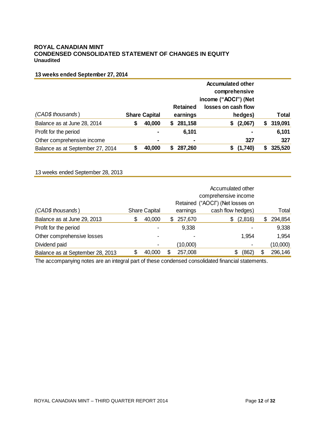#### **ROYAL CANADIAN MINT CONDENSED CONSOLIDATED STATEMENT OF CHANGES IN EQUITY Unaudited**

# **13 weeks ended September 27, 2014**

|                                  |   |                      |    | income ("AOCI") (Net        |                                |    |              |
|----------------------------------|---|----------------------|----|-----------------------------|--------------------------------|----|--------------|
| (CAD\$ thousands)                |   | <b>Share Capital</b> |    | <b>Retained</b><br>earnings | losses on cash flow<br>hedges) |    | <b>Total</b> |
| Balance as at June 28, 2014      | S | 40,000               | S. | 281,158                     | (2,067)<br>S                   | S. | 319,091      |
| Profit for the period            |   | ۰                    |    | 6,101                       | $\blacksquare$                 |    | 6,101        |
| Other comprehensive income       |   |                      |    | ۰                           | 327                            |    | 327          |
| Balance as at September 27, 2014 |   | 40,000               |    | 287,260                     | (1,740)                        |    | 325,520      |

# 13 weeks ended September 28, 2013

| (CAD\$ thousands)                |   | <b>Share Capital</b> |   | earnings       | cash flow hedges) |    | Total    |
|----------------------------------|---|----------------------|---|----------------|-------------------|----|----------|
| Balance as at June 29, 2013      | S | 40,000               | S | 257,670        | (2,816)<br>\$     | S  | 294,854  |
| Profit for the period            |   |                      |   | 9,338          |                   |    | 9,338    |
| Other comprehensive losses       |   |                      |   | $\blacksquare$ | 1,954             |    | 1,954    |
| Dividend paid                    |   | ٠                    |   | (10,000)       | $\blacksquare$    |    | (10,000) |
| Balance as at September 28, 2013 |   | 40,000               |   | 257,008        | (862)<br>\$       | \$ | 296,146  |

The accompanying notes are an integral part of these condensed consolidated financial statements.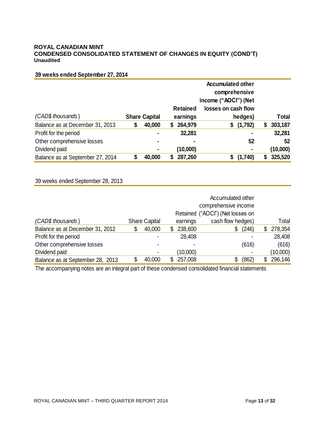## **ROYAL CANADIAN MINT CONDENSED CONSOLIDATED STATEMENT OF CHANGES IN EQUITY (COND'T) Unaudited**

# **39 weeks ended September 27, 2014**

|                                  |   |                      | <b>Accumulated other</b> |                      |                     |    |              |
|----------------------------------|---|----------------------|--------------------------|----------------------|---------------------|----|--------------|
|                                  |   |                      |                          | comprehensive        |                     |    |              |
|                                  |   |                      |                          | income ("AOCI") (Net |                     |    |              |
|                                  |   |                      |                          | <b>Retained</b>      | losses on cash flow |    |              |
| (CAD\$ thousands)                |   | <b>Share Capital</b> |                          | earnings             | hedges)             |    | <b>Total</b> |
| Balance as at December 31, 2013  | Œ | 40,000               | S.                       | 264,979              | (1,792)<br>\$       | \$ | 303,187      |
| Profit for the period            |   |                      |                          | 32,281               |                     |    | 32,281       |
| Other comprehensive losses       |   | ۰                    |                          | ٠                    | 52                  |    | 52           |
| Dividend paid                    |   | ۰                    |                          | (10,000)             |                     |    | (10,000)     |
| Balance as at September 27, 2014 |   | 40,000               |                          | 287,260              | (1,740)<br>S        | S. | 325,520      |

# 39 weeks ended September 28, 2013

|                                  | Accumulated other<br>comprehensive income<br>Retained ("AOCI") (Net losses on |                      |  |          |                   |  |          |
|----------------------------------|-------------------------------------------------------------------------------|----------------------|--|----------|-------------------|--|----------|
| (CAD\$ thousands)                |                                                                               | <b>Share Capital</b> |  | earnings | cash flow hedges) |  | Total    |
| Balance as at December 31, 2012  |                                                                               | 40,000               |  | 238,600  | (246)<br>\$       |  | 278,354  |
| Profit for the period            |                                                                               |                      |  | 28,408   |                   |  | 28,408   |
| Other comprehensive losses       |                                                                               |                      |  |          | (616)             |  | (616)    |
| Dividend paid                    |                                                                               |                      |  | (10,000) |                   |  | (10,000) |
| Balance as at September 28, 2013 |                                                                               | 40,000               |  | 257,008  | (862)<br>\$       |  | 296,146  |

The accompanying notes are an integral part of these condensed consolidated financial statements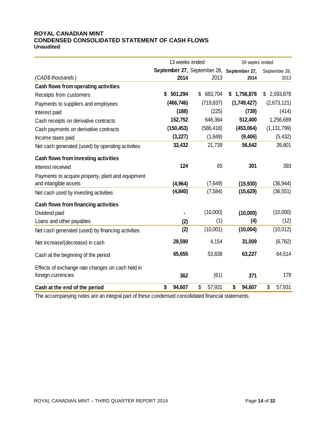#### **ROYAL CANADIAN MINT CONDENSED CONSOLIDATED STATEMENT OF CASH FLOWS Unaudited**

|                                                                            | 13 weeks ended                            |              | 39 weeks ended |               |  |
|----------------------------------------------------------------------------|-------------------------------------------|--------------|----------------|---------------|--|
|                                                                            | September 27, September 28, September 27, |              |                | September 28, |  |
| (CAD\$ thousands)                                                          | 2014                                      | 2013         | 2014           | 2013          |  |
| Cash flows from operating activities                                       |                                           |              |                |               |  |
| Receipts from customers                                                    | \$<br>501,294                             | \$ 683,704   | \$1,756,878    | \$2,593,878   |  |
| Payments to suppliers and employees                                        | (466, 746)                                | (719, 837)   | (1,749,427)    | (2,673,121)   |  |
| Interest paid                                                              | (188)                                     | (225)        | (739)          | (414)         |  |
| Cash receipts on derivative contracts                                      | 152,752                                   | 646,364      | 512,400        | 1,256,689     |  |
| Cash payments on derivative contracts                                      | (150, 453)                                | (586, 418)   | (453,064)      | (1, 131, 799) |  |
| Income taxes paid                                                          | (3, 227)                                  | (1,849)      | (9,406)        | (5, 432)      |  |
| Net cash generated (used) by operating activities                          | 33,432                                    | 21,739       | 56,642         | 39,801        |  |
| Cash flows from investing activities                                       |                                           |              |                |               |  |
| Interest received                                                          | 124                                       | 65           | 301            | 393           |  |
| Payments to acquire property, plant and equipment<br>and intangible assets | (4, 964)                                  | (7,649)      | (15, 930)      | (36, 944)     |  |
| Net cash used by investing activities                                      | (4, 840)                                  | (7, 584)     | (15, 629)      | (36, 551)     |  |
| Cash flows from financing activities                                       |                                           |              |                |               |  |
| Dividend paid                                                              |                                           | (10,000)     | (10,000)       | (10,000)      |  |
| Loans and other payables                                                   | (2)                                       | (1)          | (4)            | (12)          |  |
| Net cash generated (used) by financing activities                          | (2)                                       | (10,001)     | (10,004)       | (10, 012)     |  |
| Net increase/(decrease) in cash                                            | 28,590                                    | 4,154        | 31,009         | (6, 762)      |  |
| Cash at the beginning of the period                                        | 65,655                                    | 53,838       | 63,227         | 64,514        |  |
| Effects of exchange rate changes on cash held in                           |                                           |              |                |               |  |
| foreign currencies                                                         | 362                                       | (61)         | 371            | 179           |  |
| Cash at the end of the period                                              | \$<br>94,607                              | \$<br>57,931 | \$<br>94,607   | \$<br>57,931  |  |

The accompanying notes are an integral part of these condensed consolidated financial statements.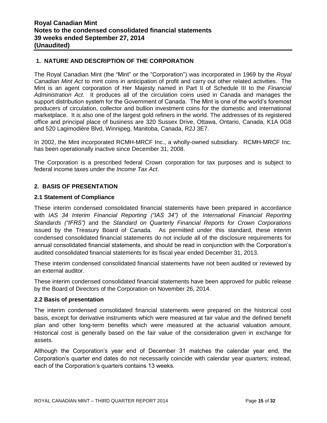# **1. NATURE AND DESCRIPTION OF THE CORPORATION**

The Royal Canadian Mint (the "Mint" or the "Corporation") was incorporated in 1969 by the *Royal Canadian Mint Act* to mint coins in anticipation of profit and carry out other related activities. The Mint is an agent corporation of Her Majesty named in Part II of Schedule III to the *Financial Administration Act*. It produces all of the circulation coins used in Canada and manages the support distribution system for the Government of Canada. The Mint is one of the world's foremost producers of circulation, collector and bullion investment coins for the domestic and international marketplace. It is also one of the largest gold refiners in the world. The addresses of its registered office and principal place of business are 320 Sussex Drive, Ottawa, Ontario, Canada, K1A 0G8 and 520 Lagimodière Blvd, Winnipeg, Manitoba, Canada, R2J 3E7.

In 2002, the Mint incorporated RCMH-MRCF Inc., a wholly-owned subsidiary. RCMH-MRCF Inc. has been operationally inactive since December 31, 2008.

The Corporation is a prescribed federal Crown corporation for tax purposes and is subject to federal income taxes under the *Income Tax Act*.

# **2. BASIS OF PRESENTATION**

## **2.1 Statement of Compliance**

These interim condensed consolidated financial statements have been prepared in accordance with *IAS 34 Interim Financial Reporting ("IAS 34")* of the *International Financial Reporting Standards ("IFRS")* and the *Standard on Quarterly Financial Reports for Crown Corporations* issued by the Treasury Board of Canada. As permitted under this standard, these interim condensed consolidated financial statements do not include all of the disclosure requirements for annual consolidated financial statements, and should be read in conjunction with the Corporation's audited consolidated financial statements for its fiscal year ended December 31, 2013.

These interim condensed consolidated financial statements have not been audited or reviewed by an external auditor.

These interim condensed consolidated financial statements have been approved for public release by the Board of Directors of the Corporation on November 26, 2014.

#### **2.2 Basis of presentation**

The interim condensed consolidated financial statements were prepared on the historical cost basis, except for derivative instruments which were measured at fair value and the defined benefit plan and other long-term benefits which were measured at the actuarial valuation amount. Historical cost is generally based on the fair value of the consideration given in exchange for assets.

Although the Corporation's year end of December 31 matches the calendar year end, the Corporation's quarter end dates do not necessarily coincide with calendar year quarters; instead, each of the Corporation's quarters contains 13 weeks.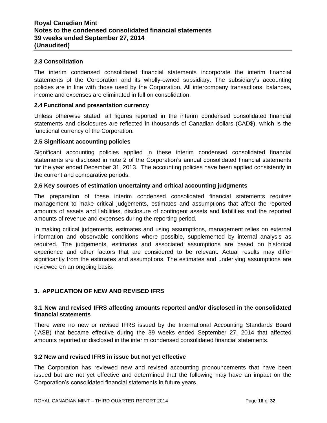# **2.3 Consolidation**

The interim condensed consolidated financial statements incorporate the interim financial statements of the Corporation and its wholly-owned subsidiary. The subsidiary's accounting policies are in line with those used by the Corporation. All intercompany transactions, balances, income and expenses are eliminated in full on consolidation.

## **2.4 Functional and presentation currency**

Unless otherwise stated, all figures reported in the interim condensed consolidated financial statements and disclosures are reflected in thousands of Canadian dollars (CAD\$), which is the functional currency of the Corporation.

#### **2.5 Significant accounting policies**

Significant accounting policies applied in these interim condensed consolidated financial statements are disclosed in note 2 of the Corporation's annual consolidated financial statements for the year ended December 31, 2013. The accounting policies have been applied consistently in the current and comparative periods.

## **2.6 Key sources of estimation uncertainty and critical accounting judgments**

The preparation of these interim condensed consolidated financial statements requires management to make critical judgements, estimates and assumptions that affect the reported amounts of assets and liabilities, disclosure of contingent assets and liabilities and the reported amounts of revenue and expenses during the reporting period.

In making critical judgements, estimates and using assumptions, management relies on external information and observable conditions where possible, supplemented by internal analysis as required. The judgements, estimates and associated assumptions are based on historical experience and other factors that are considered to be relevant. Actual results may differ significantly from the estimates and assumptions. The estimates and underlying assumptions are reviewed on an ongoing basis.

# **3. APPLICATION OF NEW AND REVISED IFRS**

#### **3.1 New and revised IFRS affecting amounts reported and/or disclosed in the consolidated financial statements**

There were no new or revised IFRS issued by the International Accounting Standards Board (IASB) that became effective during the 39 weeks ended September 27, 2014 that affected amounts reported or disclosed in the interim condensed consolidated financial statements.

#### **3.2 New and revised IFRS in issue but not yet effective**

The Corporation has reviewed new and revised accounting pronouncements that have been issued but are not yet effective and determined that the following may have an impact on the Corporation's consolidated financial statements in future years.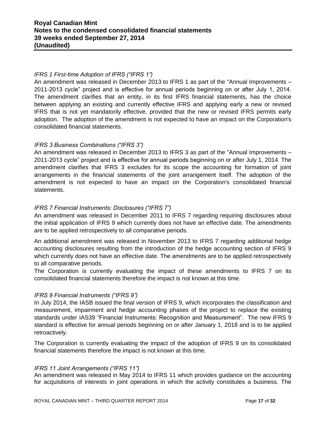# *IFRS 1 First-time Adoption of IFRS ("IFRS 1")*

An amendment was released in December 2013 to IFRS 1 as part of the "Annual Improvements – 2011-2013 cycle" project and is effective for annual periods beginning on or after July 1, 2014. The amendment clarifies that an entity, in its first IFRS financial statements, has the choice between applying an existing and currently effective IFRS and applying early a new or revised IFRS that is not yet mandatorily effective, provided that the new or revised IFRS permits early adoption. The adoption of the amendment is not expected to have an impact on the Corporation's consolidated financial statements.

# *IFRS 3 Business Combinations ("IFRS 3")*

An amendment was released in December 2013 to IFRS 3 as part of the "Annual Improvements – 2011-2013 cycle" project and is effective for annual periods beginning on or after July 1, 2014. The amendment clarifies that IFRS 3 excludes for its scope the accounting for formation of joint arrangements in the financial statements of the joint arrangement itself. The adoption of the amendment is not expected to have an impact on the Corporation's consolidated financial statements.

## *IFRS 7 Financial Instruments: Disclosures ("IFRS 7")*

An amendment was released in December 2011 to IFRS 7 regarding requiring disclosures about the initial application of IFRS 9 which currently does not have an effective date. The amendments are to be applied retrospectively to all comparative periods.

An additional amendment was released in November 2013 to IFRS 7 regarding additional hedge accounting disclosures resulting from the introduction of the hedge accounting section of IFRS 9 which currently does not have an effective date. The amendments are to be applied retrospectively to all comparative periods.

The Corporation is currently evaluating the impact of these amendments to IFRS 7 on its consolidated financial statements therefore the impact is not known at this time.

#### *IFRS 9 Financial Instruments ("IFRS 9")*

In July 2014, the IASB issued the final version of IFRS 9, which incorporates the classification and measurement, impairment and hedge accounting phases of the project to replace the existing standards under IAS39 "Financial Instruments: Recognition and Measurement". The new IFRS 9 standard is effective for annual periods beginning on or after January 1, 2018 and is to be applied retroactively.

The Corporation is currently evaluating the impact of the adoption of IFRS 9 on its consolidated financial statements therefore the impact is not known at this time.

#### *IFRS 11 Joint Arrangements ("IFRS 11")*

An amendment was released in May 2014 to IFRS 11 which provides guidance on the accounting for acquisitions of interests in joint operations in which the activity constitutes a business. The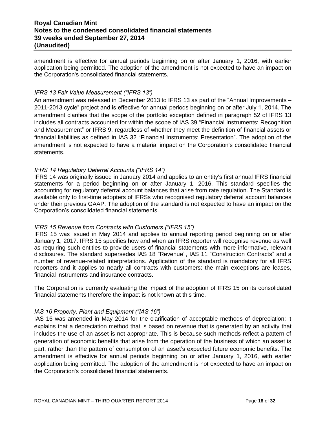# **Royal Canadian Mint Notes to the condensed consolidated financial statements 39 weeks ended September 27, 2014 (Unaudited)**

amendment is effective for annual periods beginning on or after January 1, 2016, with earlier application being permitted. The adoption of the amendment is not expected to have an impact on the Corporation's consolidated financial statements*.*

## *IFRS 13 Fair Value Measurement ("IFRS 13")*

An amendment was released in December 2013 to IFRS 13 as part of the "Annual Improvements – 2011-2013 cycle" project and is effective for annual periods beginning on or after July 1, 2014. The amendment clarifies that the scope of the portfolio exception defined in paragraph 52 of IFRS 13 includes all contracts accounted for within the scope of IAS 39 "Financial Instruments: Recognition and Measurement" or IFRS 9, regardless of whether they meet the definition of financial assets or financial liabilities as defined in IAS 32 "Financial Instruments: Presentation". The adoption of the amendment is not expected to have a material impact on the Corporation's consolidated financial statements.

## *IFRS 14 Regulatory Deferral Accounts ("IFRS 14")*

IFRS 14 was originally issued in January 2014 and applies to an entity's first annual IFRS financial statements for a period beginning on or after January 1, 2016. This standard specifies the accounting for regulatory deferral account balances that arise from rate regulation. The Standard is available only to first-time adopters of IFRSs who recognised regulatory deferral account balances under their previous GAAP. The adoption of the standard is not expected to have an impact on the Corporation's consolidated financial statements.

#### *IFRS 15 Revenue from Contracts with Customers ("IFRS 15")*

IFRS 15 was issued in May 2014 and applies to annual reporting period beginning on or after January 1, 2017. IFRS 15 specifies how and when an IFRS reporter will recognise revenue as well as requiring such entities to provide users of financial statements with more informative, relevant disclosures. The standard supersedes IAS 18 "Revenue'', IAS 11 "Construction Contracts" and a number of revenue-related interpretations. Application of the standard is mandatory for all IFRS reporters and it applies to nearly all contracts with customers: the main exceptions are leases, financial instruments and insurance contracts.

The Corporation is currently evaluating the impact of the adoption of IFRS 15 on its consolidated financial statements therefore the impact is not known at this time.

#### *IAS 16 Property, Plant and Equipment ("IAS 16")*

IAS 16 was amended in May 2014 for the clarification of acceptable methods of depreciation; it explains that a depreciation method that is based on revenue that is generated by an activity that includes the use of an asset is not appropriate. This is because such methods reflect a pattern of generation of economic benefits that arise from the operation of the business of which an asset is part, rather than the pattern of consumption of an asset's expected future economic benefits. The amendment is effective for annual periods beginning on or after January 1, 2016, with earlier application being permitted. The adoption of the amendment is not expected to have an impact on the Corporation's consolidated financial statements.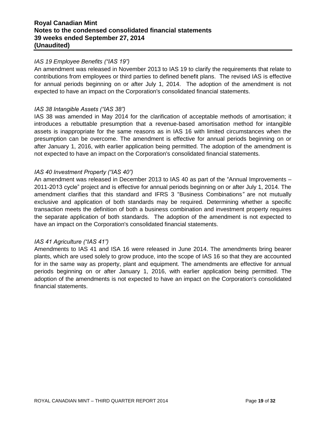# **Royal Canadian Mint Notes to the condensed consolidated financial statements 39 weeks ended September 27, 2014 (Unaudited)**

# *IAS 19 Employee Benefits ("IAS 19")*

An amendment was released in November 2013 to IAS 19 to clarify the requirements that relate to contributions from employees or third parties to defined benefit plans. The revised IAS is effective for annual periods beginning on or after July 1, 2014. The adoption of the amendment is not expected to have an impact on the Corporation's consolidated financial statements.

#### *IAS 38 Intangible Assets ("IAS 38")*

IAS 38 was amended in May 2014 for the clarification of acceptable methods of amortisation; it introduces a rebuttable presumption that a revenue-based amortisation method for intangible assets is inappropriate for the same reasons as in IAS 16 with limited circumstances when the presumption can be overcome. The amendment is effective for annual periods beginning on or after January 1, 2016, with earlier application being permitted. The adoption of the amendment is not expected to have an impact on the Corporation's consolidated financial statements.

#### *IAS 40 Investment Property ("IAS 40")*

An amendment was released in December 2013 to IAS 40 as part of the "Annual Improvements – 2011-2013 cycle" project and is effective for annual periods beginning on or after July 1, 2014. The amendment clarifies that this standard and IFRS 3 "Business Combinations*"* are not mutually exclusive and application of both standards may be required. Determining whether a specific transaction meets the definition of both a business combination and investment property requires the separate application of both standards. The adoption of the amendment is not expected to have an impact on the Corporation's consolidated financial statements.

#### *IAS 41 Agriculture ("IAS 41")*

Amendments to IAS 41 and ISA 16 were released in June 2014. The amendments bring bearer plants, which are used solely to grow produce, into the scope of IAS 16 so that they are accounted for in the same way as property, plant and equipment. The amendments are effective for annual periods beginning on or after January 1, 2016, with earlier application being permitted. The adoption of the amendments is not expected to have an impact on the Corporation's consolidated financial statements.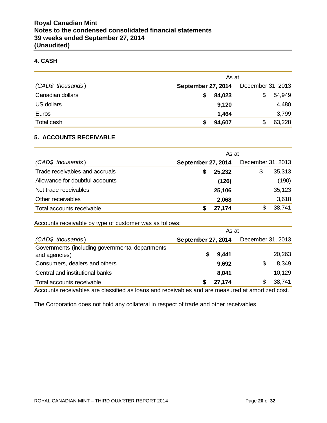# **4. CASH**

|                   | As at              |                   |  |  |  |  |
|-------------------|--------------------|-------------------|--|--|--|--|
| (CAD\$ thousands) | September 27, 2014 | December 31, 2013 |  |  |  |  |
| Canadian dollars  | 84,023             | 54,949<br>S       |  |  |  |  |
| US dollars        | 9,120              | 4,480             |  |  |  |  |
| Euros             | 1,464              | 3,799             |  |  |  |  |
| Total cash        | 94,607             | 63,228            |  |  |  |  |

## **5. ACCOUNTS RECEIVABLE**

|                                 | As at              |                   |  |  |  |  |  |  |
|---------------------------------|--------------------|-------------------|--|--|--|--|--|--|
| (CAD\$ thousands)               | September 27, 2014 | December 31, 2013 |  |  |  |  |  |  |
| Trade receivables and accruals  | 25,232             | 35,313<br>\$      |  |  |  |  |  |  |
| Allowance for doubtful accounts | (126)              | (190)             |  |  |  |  |  |  |
| Net trade receivables           | 25,106             | 35,123            |  |  |  |  |  |  |
| Other receivables               | 2,068              | 3,618             |  |  |  |  |  |  |
| Total accounts receivable       | 27,174             | 38,741            |  |  |  |  |  |  |

Accounts receivable by type of customer was as follows:

|                                                 | As at              |        |                   |        |  |  |
|-------------------------------------------------|--------------------|--------|-------------------|--------|--|--|
| (CAD\$ thousands)                               | September 27, 2014 |        | December 31, 2013 |        |  |  |
| Governments (including governmental departments |                    |        |                   |        |  |  |
| and agencies)                                   | 5                  | 9,441  |                   | 20,263 |  |  |
| Consumers, dealers and others                   |                    | 9,692  | S                 | 8,349  |  |  |
| Central and institutional banks                 |                    | 8,041  |                   | 10,129 |  |  |
| Total accounts receivable                       |                    | 27,174 |                   | 38,741 |  |  |

Accounts receivables are classified as loans and receivables and are measured at amortized cost.

The Corporation does not hold any collateral in respect of trade and other receivables.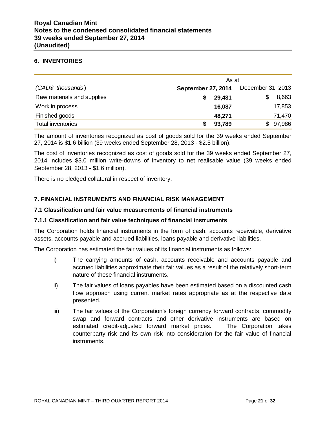#### **6. INVENTORIES**

|                            | As at              |                   |  |  |  |  |
|----------------------------|--------------------|-------------------|--|--|--|--|
| (CAD\$ thousands)          | September 27, 2014 | December 31, 2013 |  |  |  |  |
| Raw materials and supplies | 29,431             | 8,663             |  |  |  |  |
| Work in process            | 16,087             | 17,853            |  |  |  |  |
| Finished goods             | 48,271             | 71,470            |  |  |  |  |
| <b>Total inventories</b>   | 93,789             | 97,986<br>\$      |  |  |  |  |

The amount of inventories recognized as cost of goods sold for the 39 weeks ended September 27, 2014 is \$1.6 billion (39 weeks ended September 28, 2013 - \$2.5 billion).

The cost of inventories recognized as cost of goods sold for the 39 weeks ended September 27, 2014 includes \$3.0 million write-downs of inventory to net realisable value (39 weeks ended September 28, 2013 - \$1.6 million).

There is no pledged collateral in respect of inventory.

# **7. FINANCIAL INSTRUMENTS AND FINANCIAL RISK MANAGEMENT**

## **7.1 Classification and fair value measurements of financial instruments**

#### **7.1.1 Classification and fair value techniques of financial instruments**

The Corporation holds financial instruments in the form of cash, accounts receivable, derivative assets, accounts payable and accrued liabilities, loans payable and derivative liabilities.

The Corporation has estimated the fair values of its financial instruments as follows:

- i) The carrying amounts of cash, accounts receivable and accounts payable and accrued liabilities approximate their fair values as a result of the relatively short-term nature of these financial instruments.
- ii) The fair values of loans payables have been estimated based on a discounted cash flow approach using current market rates appropriate as at the respective date presented.
- iii) The fair values of the Corporation's foreign currency forward contracts, commodity swap and forward contracts and other derivative instruments are based on estimated credit-adjusted forward market prices. The Corporation takes counterparty risk and its own risk into consideration for the fair value of financial instruments.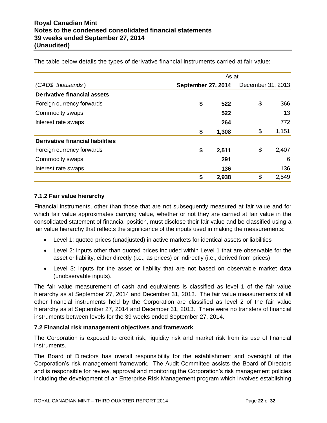|                                  | As at              |    |       |  |  |  |  |  |
|----------------------------------|--------------------|----|-------|--|--|--|--|--|
| (CAD\$ thousands)                | September 27, 2014 |    |       |  |  |  |  |  |
| Derivative financial assets      |                    |    |       |  |  |  |  |  |
| Foreign currency forwards        | \$<br>522          | \$ | 366   |  |  |  |  |  |
| Commodity swaps                  | 522                |    | 13    |  |  |  |  |  |
| Interest rate swaps              | 264                |    | 772   |  |  |  |  |  |
|                                  | \$<br>1,308        | \$ | 1,151 |  |  |  |  |  |
| Derivative financial liabilities |                    |    |       |  |  |  |  |  |
| Foreign currency forwards        | \$<br>2,511        | \$ | 2,407 |  |  |  |  |  |
| Commodity swaps                  | 291                |    | 6     |  |  |  |  |  |
| Interest rate swaps              | 136                |    | 136   |  |  |  |  |  |
|                                  | \$<br>2,938        | \$ | 2,549 |  |  |  |  |  |

The table below details the types of derivative financial instruments carried at fair value:

# **7.1.2 Fair value hierarchy**

Financial instruments, other than those that are not subsequently measured at fair value and for which fair value approximates carrying value, whether or not they are carried at fair value in the consolidated statement of financial position, must disclose their fair value and be classified using a fair value hierarchy that reflects the significance of the inputs used in making the measurements:

- Level 1: quoted prices (unadjusted) in active markets for identical assets or liabilities
- Level 2: inputs other than quoted prices included within Level 1 that are observable for the asset or liability, either directly (i.e., as prices) or indirectly (i.e., derived from prices)
- Level 3: inputs for the asset or liability that are not based on observable market data (unobservable inputs).

The fair value measurement of cash and equivalents is classified as level 1 of the fair value hierarchy as at September 27, 2014 and December 31, 2013. The fair value measurements of all other financial instruments held by the Corporation are classified as level 2 of the fair value hierarchy as at September 27, 2014 and December 31, 2013. There were no transfers of financial instruments between levels for the 39 weeks ended September 27, 2014.

# **7.2 Financial risk management objectives and framework**

The Corporation is exposed to credit risk, liquidity risk and market risk from its use of financial instruments.

The Board of Directors has overall responsibility for the establishment and oversight of the Corporation's risk management framework. The Audit Committee assists the Board of Directors and is responsible for review, approval and monitoring the Corporation's risk management policies including the development of an Enterprise Risk Management program which involves establishing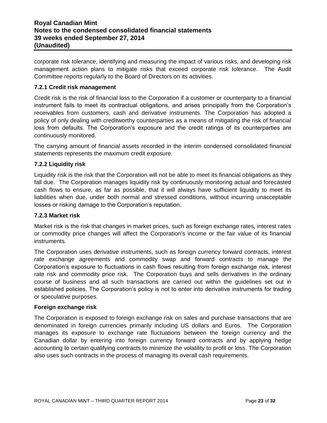corporate risk tolerance, identifying and measuring the impact of various risks, and developing risk management action plans to mitigate risks that exceed corporate risk tolerance. The Audit Committee reports regularly to the Board of Directors on its activities.

# **7.2.1 Credit risk management**

Credit risk is the risk of financial loss to the Corporation if a customer or counterparty to a financial instrument fails to meet its contractual obligations, and arises principally from the Corporation's receivables from customers, cash and derivative instruments. The Corporation has adopted a policy of only dealing with creditworthy counterparties as a means of mitigating the risk of financial loss from defaults. The Corporation's exposure and the credit ratings of its counterparties are continuously monitored.

The carrying amount of financial assets recorded in the interim condensed consolidated financial statements represents the maximum credit exposure.

## **7.2.2 Liquidity risk**

Liquidity risk is the risk that the Corporation will not be able to meet its financial obligations as they fall due. The Corporation manages liquidity risk by continuously monitoring actual and forecasted cash flows to ensure, as far as possible, that it will always have sufficient liquidity to meet its liabilities when due, under both normal and stressed conditions, without incurring unacceptable losses or risking damage to the Corporation's reputation.

#### **7.2.3 Market risk**

Market risk is the risk that changes in market prices, such as foreign exchange rates, interest rates or commodity price changes will affect the Corporation's income or the fair value of its financial instruments.

The Corporation uses derivative instruments, such as foreign currency forward contracts, interest rate exchange agreements and commodity swap and forward contracts to manage the Corporation's exposure to fluctuations in cash flows resulting from foreign exchange risk, interest rate risk and commodity price risk. The Corporation buys and sells derivatives in the ordinary course of business and all such transactions are carried out within the guidelines set out in established policies. The Corporation's policy is not to enter into derivative instruments for trading or speculative purposes.

#### **Foreign exchange risk**

The Corporation is exposed to foreign exchange risk on sales and purchase transactions that are denominated in foreign currencies primarily including US dollars and Euros. The Corporation manages its exposure to exchange rate fluctuations between the foreign currency and the Canadian dollar by entering into foreign currency forward contracts and by applying hedge accounting to certain qualifying contracts to minimize the volatility to profit or loss. The Corporation also uses such contracts in the process of managing its overall cash requirements.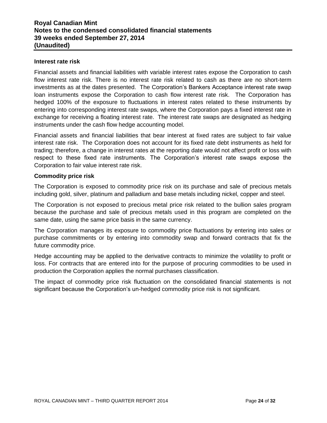#### **Interest rate risk**

Financial assets and financial liabilities with variable interest rates expose the Corporation to cash flow interest rate risk. There is no interest rate risk related to cash as there are no short-term investments as at the dates presented. The Corporation's Bankers Acceptance interest rate swap loan instruments expose the Corporation to cash flow interest rate risk. The Corporation has hedged 100% of the exposure to fluctuations in interest rates related to these instruments by entering into corresponding interest rate swaps, where the Corporation pays a fixed interest rate in exchange for receiving a floating interest rate. The interest rate swaps are designated as hedging instruments under the cash flow hedge accounting model.

Financial assets and financial liabilities that bear interest at fixed rates are subject to fair value interest rate risk. The Corporation does not account for its fixed rate debt instruments as held for trading; therefore, a change in interest rates at the reporting date would not affect profit or loss with respect to these fixed rate instruments. The Corporation's interest rate swaps expose the Corporation to fair value interest rate risk.

## **Commodity price risk**

The Corporation is exposed to commodity price risk on its purchase and sale of precious metals including gold, silver, platinum and palladium and base metals including nickel, copper and steel.

The Corporation is not exposed to precious metal price risk related to the bullion sales program because the purchase and sale of precious metals used in this program are completed on the same date, using the same price basis in the same currency.

The Corporation manages its exposure to commodity price fluctuations by entering into sales or purchase commitments or by entering into commodity swap and forward contracts that fix the future commodity price.

Hedge accounting may be applied to the derivative contracts to minimize the volatility to profit or loss. For contracts that are entered into for the purpose of procuring commodities to be used in production the Corporation applies the normal purchases classification.

The impact of commodity price risk fluctuation on the consolidated financial statements is not significant because the Corporation's un-hedged commodity price risk is not significant.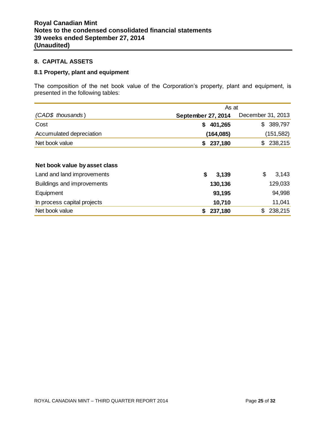## **8. CAPITAL ASSETS**

# **8.1 Property, plant and equipment**

The composition of the net book value of the Corporation's property, plant and equipment, is presented in the following tables:

|                               | As at                     |                   |  |  |  |  |
|-------------------------------|---------------------------|-------------------|--|--|--|--|
| (CAD\$ thousands)             | <b>September 27, 2014</b> | December 31, 2013 |  |  |  |  |
| Cost                          | 401,265<br>\$             | \$<br>389,797     |  |  |  |  |
| Accumulated depreciation      | (164, 085)                | (151, 582)        |  |  |  |  |
| Net book value                | 237,180<br>\$             | 238,215<br>\$     |  |  |  |  |
|                               |                           |                   |  |  |  |  |
| Net book value by asset class |                           |                   |  |  |  |  |
| Land and land improvements    | \$<br>3,139               | \$<br>3,143       |  |  |  |  |
| Buildings and improvements    | 130,136                   | 129,033           |  |  |  |  |
| Equipment                     | 93,195                    | 94,998            |  |  |  |  |
| In process capital projects   | 10,710                    | 11,041            |  |  |  |  |
| Net book value                | \$<br>237,180             | \$<br>238,215     |  |  |  |  |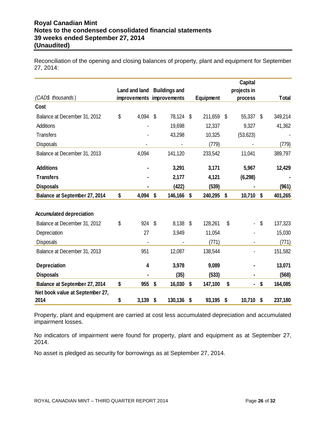Reconciliation of the opening and closing balances of property, plant and equipment for September 27, 2014:

|                                 |               |    |                           |               |    | <b>Capital</b> |                           |              |
|---------------------------------|---------------|----|---------------------------|---------------|----|----------------|---------------------------|--------------|
|                                 | Land and land |    | <b>Buildings and</b>      |               |    | projects in    |                           |              |
| (CAD\$ thousands)               |               |    | improvements improvements | Equipment     |    | process        |                           | <b>Total</b> |
| Cost                            |               |    |                           |               |    |                |                           |              |
| Balance at December 31, 2012    | \$<br>4,094   | S  | 78,124                    | \$<br>211,659 | -S | 55,337 \$      |                           | 349,214      |
| <b>Additions</b>                |               |    | 19,698                    | 12,337        |    | 9,327          |                           | 41,362       |
| <b>Transfers</b>                |               |    | 43,298                    | 10,325        |    | (53, 623)      |                           |              |
| Disposals                       |               |    |                           | (779)         |    |                |                           | (779)        |
| Balance at December 31, 2013    | 4,094         |    | 141,120                   | 233,542       |    | 11,041         |                           | 389,797      |
| <b>Additions</b>                |               |    | 3,291                     | 3,171         |    | 5,967          |                           | 12,429       |
| <b>Transfers</b>                |               |    | 2,177                     | 4,121         |    | (6, 298)       |                           |              |
| <b>Disposals</b>                |               |    | (422)                     | (539)         |    |                |                           | (961)        |
| Balance at September 27, 2014   | \$<br>4,094   | \$ | 146,166                   | \$<br>240,295 | \$ | 10,710         | $\boldsymbol{\mathsf{s}}$ | 401,265      |
| <b>Accumulated depreciation</b> |               |    |                           |               |    |                |                           |              |
| Balance at December 31, 2012    | \$<br>924     | \$ | 8,138                     | \$<br>128,261 | \$ |                | \$                        | 137,323      |
| Depreciation                    | 27            |    | 3,949                     | 11,054        |    |                |                           | 15,030       |
| <b>Disposals</b>                |               |    |                           | (771)         |    |                |                           | (771)        |
| Balance at December 31, 2013    | 951           |    | 12,087                    | 138,544       |    |                |                           | 151,582      |
| <b>Depreciation</b>             | 4             |    | 3,978                     | 9,089         |    |                |                           | 13,071       |
| <b>Disposals</b>                |               |    | (35)                      | (533)         |    |                |                           | (568)        |
| Balance at September 27, 2014   | \$<br>955     | \$ | 16,030                    | \$<br>147,100 | \$ |                | \$                        | 164,085      |
| Net book value at September 27, |               |    |                           |               |    |                |                           |              |
| 2014                            | \$<br>3,139   | \$ | 130,136                   | \$<br>93,195  | \$ | 10,710         | \$                        | 237,180      |

Property, plant and equipment are carried at cost less accumulated depreciation and accumulated impairment losses.

No indicators of impairment were found for property, plant and equipment as at September 27, 2014.

No asset is pledged as security for borrowings as at September 27, 2014.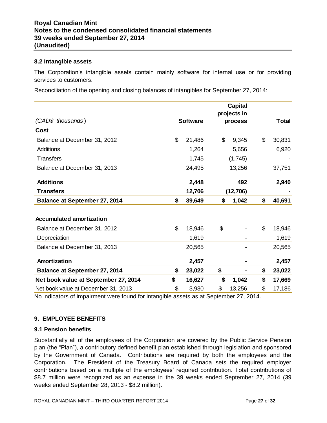#### **8.2 Intangible assets**

The Corporation's intangible assets contain mainly software for internal use or for providing services to customers.

Reconciliation of the opening and closing balances of intangibles for September 27, 2014:

|                                      |                 | <b>Capital</b><br>projects in |              |
|--------------------------------------|-----------------|-------------------------------|--------------|
| (CAD\$ thousands)                    | <b>Software</b> | process                       | Total        |
| Cost                                 |                 |                               |              |
| Balance at December 31, 2012         | \$<br>21,486    | \$<br>9,345                   | \$<br>30,831 |
| Additions                            | 1,264           | 5,656                         | 6,920        |
| <b>Transfers</b>                     | 1,745           | (1,745)                       |              |
| Balance at December 31, 2013         | 24,495          | 13,256                        | 37,751       |
| <b>Additions</b>                     | 2,448           | 492                           | 2,940        |
| <b>Transfers</b>                     | 12,706          | (12, 706)                     |              |
| <b>Balance at September 27, 2014</b> | \$<br>39,649    | \$<br>1,042                   | \$<br>40,691 |
|                                      |                 |                               |              |
| <b>Accumulated amortization</b>      |                 |                               |              |
| Balance at December 31, 2012         | \$<br>18,946    | \$                            | \$<br>18,946 |
| Depreciation                         | 1,619           |                               | 1,619        |
| Balance at December 31, 2013         | 20,565          |                               | 20,565       |
| Amortization                         | 2,457           |                               | 2,457        |
| <b>Balance at September 27, 2014</b> | \$<br>23,022    | \$                            | \$<br>23,022 |
| Net book value at September 27, 2014 | \$<br>16,627    | \$<br>1,042                   | \$<br>17,669 |
| Net book value at December 31, 2013  | \$<br>3,930     | \$<br>13,256                  | \$<br>17,186 |

No indicators of impairment were found for intangible assets as at September 27, 2014.

# **9. EMPLOYEE BENEFITS**

#### **9.1 Pension benefits**

Substantially all of the employees of the Corporation are covered by the Public Service Pension plan (the "Plan"), a contributory defined benefit plan established through legislation and sponsored by the Government of Canada. Contributions are required by both the employees and the Corporation. The President of the Treasury Board of Canada sets the required employer contributions based on a multiple of the employees' required contribution. Total contributions of \$8.7 million were recognized as an expense in the 39 weeks ended September 27, 2014 (39 weeks ended September 28, 2013 - \$8.2 million).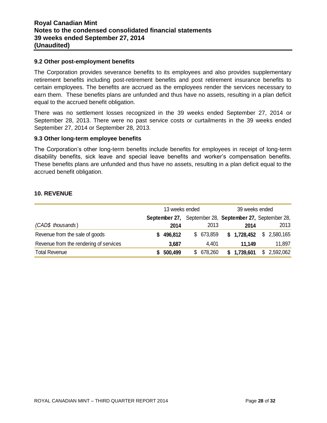#### **9.2 Other post-employment benefits**

The Corporation provides severance benefits to its employees and also provides supplementary retirement benefits including post-retirement benefits and post retirement insurance benefits to certain employees. The benefits are accrued as the employees render the services necessary to earn them. These benefits plans are unfunded and thus have no assets, resulting in a plan deficit equal to the accrued benefit obligation.

There was no settlement losses recognized in the 39 weeks ended September 27, 2014 or September 28, 2013. There were no past service costs or curtailments in the 39 weeks ended September 27, 2014 or September 28, 2013.

#### **9.3 Other long-term employee benefits**

The Corporation's other long-term benefits include benefits for employees in receipt of long-term disability benefits, sick leave and special leave benefits and worker's compensation benefits. These benefits plans are unfunded and thus have no assets, resulting in a plan deficit equal to the accrued benefit obligation.

## **10. REVENUE**

|                                        | 13 weeks ended |         |  |            | 39 weeks ended |             |    |                                                         |
|----------------------------------------|----------------|---------|--|------------|----------------|-------------|----|---------------------------------------------------------|
|                                        |                |         |  |            |                |             |    | September 27, September 28, September 27, September 28, |
| (CAD\$ thousands)                      |                | 2014    |  | 2013       |                | 2014        |    | 2013                                                    |
| Revenue from the sale of goods         |                | 496,812 |  | \$ 673,859 |                | \$1,728,452 | \$ | 2,580,165                                               |
| Revenue from the rendering of services |                | 3,687   |  | 4,401      |                | 11.149      |    | 11,897                                                  |
| <b>Total Revenue</b>                   |                | 500,499 |  | \$ 678,260 |                | \$1,739,601 | \$ | 2,592,062                                               |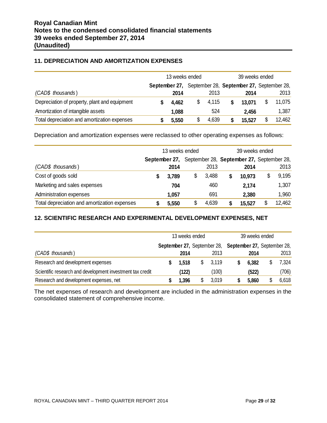# **11. DEPRECIATION AND AMORTIZATION EXPENSES**

|                                               | 13 weeks ended |               |  |       | 39 weeks ended |                                           |  |        |
|-----------------------------------------------|----------------|---------------|--|-------|----------------|-------------------------------------------|--|--------|
|                                               |                | September 27, |  |       |                | September 28, September 27, September 28, |  |        |
| (CAD\$ thousands)                             |                | 2014          |  | 2013  |                | 2014                                      |  | 2013   |
| Depreciation of property, plant and equipment |                | 4,462         |  | 4,115 |                | 13.071                                    |  | 11,075 |
| Amortization of intangible assets             |                | 1,088         |  | 524   |                | 2,456                                     |  | 1,387  |
| Total depreciation and amortization expenses  |                | 5,550         |  | 4,639 |                | 15,527                                    |  | 12,462 |

Depreciation and amortization expenses were reclassed to other operating expenses as follows:

|                                              | 13 weeks ended |       |    |       | 39 weeks ended                            |        |    |        |
|----------------------------------------------|----------------|-------|----|-------|-------------------------------------------|--------|----|--------|
|                                              | September 27,  |       |    |       | September 28, September 27, September 28, |        |    |        |
| (CAD\$ thousands)                            |                | 2014  |    | 2013  |                                           | 2014   |    | 2013   |
| Cost of goods sold                           | S              | 3,789 | \$ | 3,488 |                                           | 10,973 | \$ | 9,195  |
| Marketing and sales expenses                 |                | 704   |    | 460   |                                           | 2,174  |    | 1,307  |
| Administration expenses                      |                | 1,057 |    | 691   |                                           | 2,380  |    | 1,960  |
| Total depreciation and amortization expenses |                | 5,550 | \$ | 4,639 |                                           | 15,527 |    | 12,462 |

# **12. SCIENTIFIC RESEARCH AND EXPERIMENTAL DEVELOPMENT EXPENSES, NET**

|                                                           | 13 weeks ended                                          |       |   | 39 weeks ended |  |       |  |       |
|-----------------------------------------------------------|---------------------------------------------------------|-------|---|----------------|--|-------|--|-------|
|                                                           | September 27, September 28, September 27, September 28, |       |   |                |  |       |  |       |
|                                                           |                                                         |       |   |                |  |       |  |       |
| (CAD\$ thousands)                                         |                                                         | 2014  |   | 2013           |  | 2014  |  | 2013  |
| Research and development expenses                         |                                                         | 1.518 | S | 3,119          |  | 6,382 |  | 7,324 |
| Scientific research and development investment tax credit |                                                         | (122) |   | (100)          |  | (522) |  | (706) |
| Research and development expenses, net                    |                                                         | 1,396 |   | 3,019          |  | 5,860 |  | 6,618 |

The net expenses of research and development are included in the administration expenses in the consolidated statement of comprehensive income.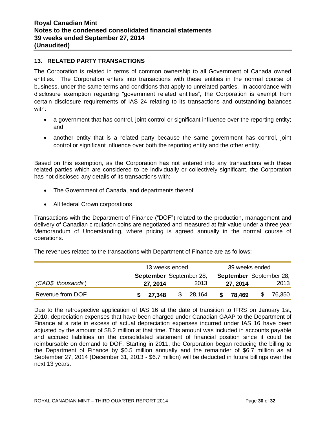# **13. RELATED PARTY TRANSACTIONS**

The Corporation is related in terms of common ownership to all Government of Canada owned entities. The Corporation enters into transactions with these entities in the normal course of business, under the same terms and conditions that apply to unrelated parties. In accordance with disclosure exemption regarding "government related entities", the Corporation is exempt from certain disclosure requirements of IAS 24 relating to its transactions and outstanding balances with:

- a government that has control, joint control or significant influence over the reporting entity; and
- another entity that is a related party because the same government has control, joint control or significant influence over both the reporting entity and the other entity.

Based on this exemption, as the Corporation has not entered into any transactions with these related parties which are considered to be individually or collectively significant, the Corporation has not disclosed any details of its transactions with:

- The Government of Canada, and departments thereof
- All federal Crown corporations

Transactions with the Department of Finance ("DOF") related to the production, management and delivery of Canadian circulation coins are negotiated and measured at fair value under a three year Memorandum of Understanding, where pricing is agreed annually in the normal course of operations.

The revenues related to the transactions with Department of Finance are as follows:

|                   | 13 weeks ended          |    |        |                         | 39 weeks ended |        |
|-------------------|-------------------------|----|--------|-------------------------|----------------|--------|
|                   | September September 28, |    |        | September September 28, |                |        |
| (CAD\$ thousands) | 27, 2014                |    | 2013   |                         | 27, 2014       | 2013   |
| Revenue from DOF  | \$27,348                | \$ | 28,164 | S.                      | 78.469         | 76,350 |

Due to the retrospective application of IAS 16 at the date of transition to IFRS on January 1st, 2010, depreciation expenses that have been charged under Canadian GAAP to the Department of Finance at a rate in excess of actual depreciation expenses incurred under IAS 16 have been adjusted by the amount of \$8.2 million at that time. This amount was included in accounts payable and accrued liabilities on the consolidated statement of financial position since it could be reimbursable on demand to DOF. Starting in 2011, the Corporation began reducing the billing to the Department of Finance by \$0.5 million annually and the remainder of \$6.7 million as at September 27, 2014 (December 31, 2013 - \$6.7 million) will be deducted in future billings over the next 13 years.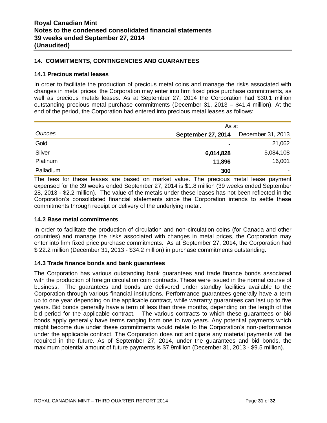# **14. COMMITMENTS, CONTINGENCIES AND GUARANTEES**

#### **14.1 Precious metal leases**

In order to facilitate the production of precious metal coins and manage the risks associated with changes in metal prices, the Corporation may enter into firm fixed price purchase commitments, as well as precious metals leases. As at September 27, 2014 the Corporation had \$30.1 million outstanding precious metal purchase commitments (December 31, 2013 – \$41.4 million). At the end of the period, the Corporation had entered into precious metal leases as follows:

|               | As at              |                   |  |  |  |  |
|---------------|--------------------|-------------------|--|--|--|--|
| <b>Ounces</b> | September 27, 2014 | December 31, 2013 |  |  |  |  |
| Gold          | $\blacksquare$     | 21,062            |  |  |  |  |
| Silver        | 6,014,828          | 5,084,108         |  |  |  |  |
| Platinum      | 11,896             | 16,001            |  |  |  |  |
| Palladium     | 300                |                   |  |  |  |  |

The fees for these leases are based on market value. The precious metal lease payment expensed for the 39 weeks ended September 27, 2014 is \$1.8 million (39 weeks ended September 28, 2013 - \$2.2 million). The value of the metals under these leases has not been reflected in the Corporation's consolidated financial statements since the Corporation intends to settle these commitments through receipt or delivery of the underlying metal.

#### **14.2 Base metal commitments**

In order to facilitate the production of circulation and non-circulation coins (for Canada and other countries) and manage the risks associated with changes in metal prices, the Corporation may enter into firm fixed price purchase commitments. As at September 27, 2014, the Corporation had \$ 22.2 million (December 31, 2013 - \$34.2 million) in purchase commitments outstanding.

#### **14.3 Trade finance bonds and bank guarantees**

The Corporation has various outstanding bank guarantees and trade finance bonds associated with the production of foreign circulation coin contracts. These were issued in the normal course of business. The guarantees and bonds are delivered under standby facilities available to the Corporation through various financial institutions. Performance guarantees generally have a term up to one year depending on the applicable contract, while warranty guarantees can last up to five years. Bid bonds generally have a term of less than three months, depending on the length of the bid period for the applicable contract. The various contracts to which these guarantees or bid bonds apply generally have terms ranging from one to two years. Any potential payments which might become due under these commitments would relate to the Corporation's non-performance under the applicable contract. The Corporation does not anticipate any material payments will be required in the future. As of September 27, 2014, under the guarantees and bid bonds, the maximum potential amount of future payments is \$7.9million (December 31, 2013 - \$9.5 million).